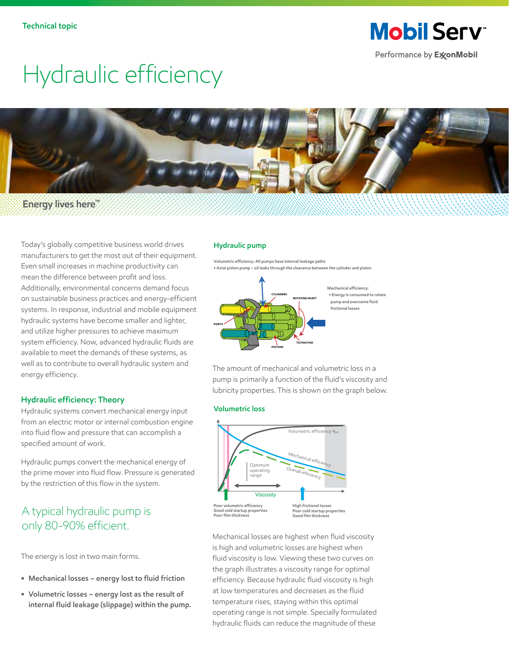**Mobil Serv** Performance by ExxonMobil

# Hydraulic efficiency



**Energy lives here™**

Today's globally competitive business world drives manufacturers to get the most out of their equipment. Even small increases in machine productivity can mean the difference between profit and loss. Additionally, environmental concerns demand focus on sustainable business practices and energy-efficient systems. In response, industrial and mobile equipment hydraulic systems have become smaller and lighter, and utilize higher pressures to achieve maximum system efficiency. Now, advanced hydraulic fluids are available to meet the demands of these systems, as well as to contribute to overall hydraulic system and energy efficiency.

### **Hydraulic efficiency: Theory**

Hydraulic systems convert mechanical energy input from an electric motor or internal combustion engine into fluid flow and pressure that can accomplish a specified amount of work.

Hydraulic pumps convert the mechanical energy of the prime mover into fluid flow. Pressure is generated by the restriction of this flow in the system.

## A typical hydraulic pump is only 80-90% efficient.

The energy is lost in two main forms.

- **Mechanical losses energy lost to fluid friction**
- **Volumetric losses energy lost as the result of internal fluid leakage (slippage) within the pump.**

#### **Hydraulic pump**

**Volumetric efficiency: All pumps have internal leakage paths • Axial piston pump – oil leaks through the clearance between the cylinder and piston**



The amount of mechanical and volumetric loss in a pump is primarily a function of the fluid's viscosity and

lubricity properties. This is shown on the graph below.

#### **Volumetric loss**



Mechanical losses are highest when fluid viscosity is high and volumetric losses are highest when fluid viscosity is low. Viewing these two curves on the graph illustrates a viscosity range for optimal efficiency. Because hydraulic fluid viscosity is high at low temperatures and decreases as the fluid temperature rises, staying within this optimal operating range is not simple. Specially formulated hydraulic fluids can reduce the magnitude of these